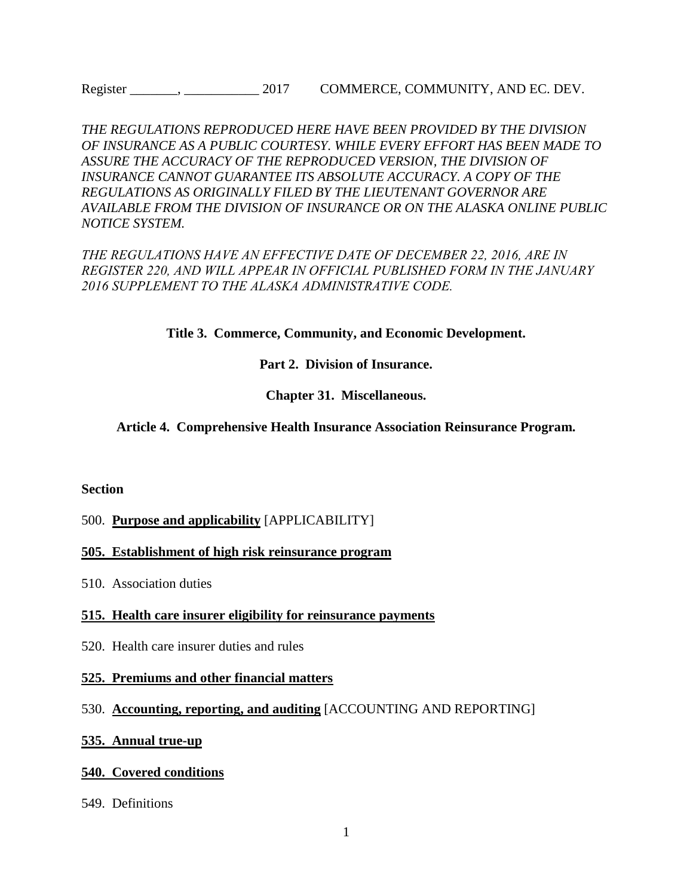*THE REGULATIONS REPRODUCED HERE HAVE BEEN PROVIDED BY THE DIVISION OF INSURANCE AS A PUBLIC COURTESY. WHILE EVERY EFFORT HAS BEEN MADE TO ASSURE THE ACCURACY OF THE REPRODUCED VERSION, THE DIVISION OF INSURANCE CANNOT GUARANTEE ITS ABSOLUTE ACCURACY. A COPY OF THE REGULATIONS AS ORIGINALLY FILED BY THE LIEUTENANT GOVERNOR ARE AVAILABLE FROM THE DIVISION OF INSURANCE OR ON THE ALASKA ONLINE PUBLIC NOTICE SYSTEM.*

*THE REGULATIONS HAVE AN EFFECTIVE DATE OF DECEMBER 22, 2016, ARE IN REGISTER 220, AND WILL APPEAR IN OFFICIAL PUBLISHED FORM IN THE JANUARY 2016 SUPPLEMENT TO THE ALASKA ADMINISTRATIVE CODE.*

**Title 3. Commerce, Community, and Economic Development.** 

#### **Part 2. Division of Insurance.**

#### **Chapter 31. Miscellaneous.**

#### **Article 4. Comprehensive Health Insurance Association Reinsurance Program.**

#### **Section**

#### 500. **Purpose and applicability** [APPLICABILITY]

#### **505. Establishment of high risk reinsurance program**

510. Association duties

#### **515. Health care insurer eligibility for reinsurance payments**

520. Health care insurer duties and rules

#### **525. Premiums and other financial matters**

#### 530. **[Accounting, reporting,](http://www.legis.state.ak.us/basis/folioproxy.asp?url=http://wwwjnu01.legis.state.ak.us/cgi-bin/folioisa.dll/aac/query=%5bJUMP:%273+aac+31!2E530%27%5d/doc/%7b@1%7d?firsthit) and auditing** [\[ACCOUNTING AND REPORTING\]](http://www.legis.state.ak.us/basis/folioproxy.asp?url=http://wwwjnu01.legis.state.ak.us/cgi-bin/folioisa.dll/aac/query=%5bJUMP:%273+aac+31!2E530%27%5d/doc/%7b@1%7d?firsthit)

#### **535. Annual true-up**

#### **540. Covered conditions**

549. Definitions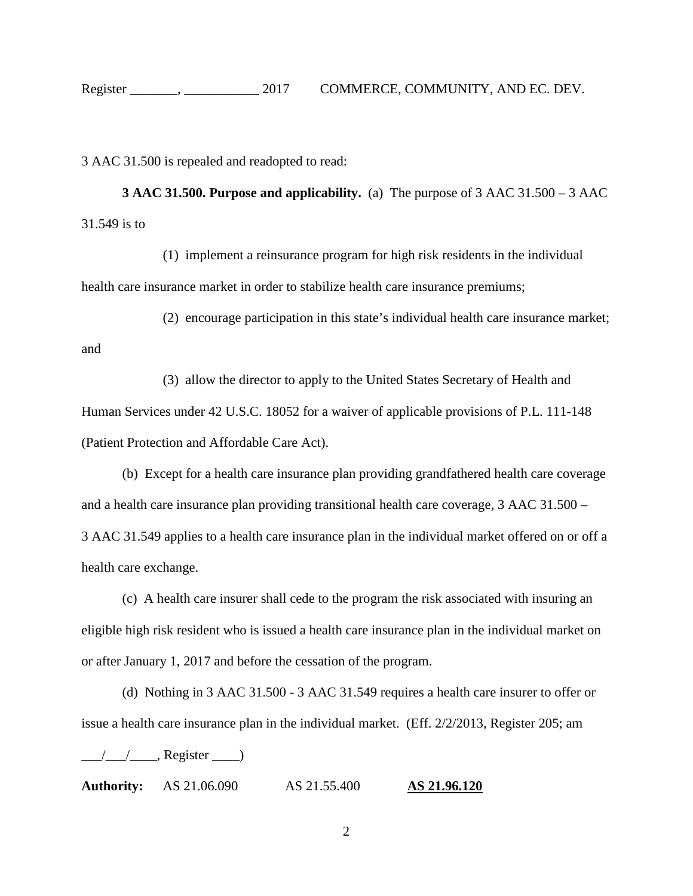3 AAC 31.500 is repealed and readopted to read:

**[3 AAC 31.500. Purpose and applicability.](http://www.legis.state.ak.us/basis/folioproxy.asp?url=http://wwwjnu01.legis.state.ak.us/cgi-bin/folioisa.dll/aac/query=%5bGroup+!273+aac+31!2E500!27!3A%5d/doc/%7b@1%7d/hits_only?firsthit)** (a) The purpose of 3 AAC 31.500 – 3 AAC 31.549 is to

(1) implement a reinsurance program for high risk residents in the individual health care insurance market in order to stabilize health care insurance premiums;

(2) encourage participation in this state's individual health care insurance market; and

(3) allow the director to apply to the United States Secretary of Health and Human Services under 42 U.S.C. 18052 for a waiver of applicable provisions of P.L. 111-148 (Patient Protection and Affordable Care Act).

(b) Except for a health care insurance plan providing grandfathered health care coverage and a health care insurance plan providing transitional health care coverage, 3 AAC 31.500 – 3 AAC 31.549 applies to a health care insurance plan in the individual market offered on or off a health care exchange.

(c) A health care insurer shall cede to the program the risk associated with insuring an eligible high risk resident who is issued a health care insurance plan in the individual market on or after January 1, 2017 and before the cessation of the program.

(d) Nothing in 3 AAC [31.500](http://www.legis.state.ak.us/basis/folioproxy.asp?url=http://wwwjnu01.legis.state.ak.us/cgi-bin/folioisa.dll/aac/query=%5bJUMP:%273+aac+31!2E500%27%5d/doc/%7b@1%7d?firsthit) - 3 AAC [31.549](http://www.legis.state.ak.us/basis/folioproxy.asp?url=http://wwwjnu01.legis.state.ak.us/cgi-bin/folioisa.dll/aac/query=%5bJUMP:%273+aac+31!2E549%27%5d/doc/%7b@1%7d?firsthit) requires a health care insurer to offer or issue a health care insurance plan in the individual market. (Eff. 2/2/2013, Register 205; am

 $\frac{1}{\sqrt{2\pi}}$ , Register  $\frac{1}{\sqrt{2\pi}}$ 

**Authority:** AS [21.06.090](http://www.legis.state.ak.us/basis/folioproxy.asp?url=http://wwwjnu01.legis.state.ak.us/cgi-bin/folioisa.dll/stattx15/query=%5bJUMP:%27AS2106090%27%5d/doc/%7b@1%7d?firsthit) [AS 21.55.400](http://www.legis.state.ak.us/basis/folioproxy.asp?url=http://wwwjnu01.legis.state.ak.us/cgi-bin/folioisa.dll/stattx15/query=%5bJUMP:%27AS2155220%27%5d/doc/%7b@1%7d?firsthit) **[AS 21.96.120](http://www.legis.state.ak.us/basis/folioproxy.asp?url=http://wwwjnu01.legis.state.ak.us/cgi-bin/folioisa.dll/stattx15/query=%5bJUMP:%27AS2155400%27%5d/doc/%7b@1%7d?firsthit)**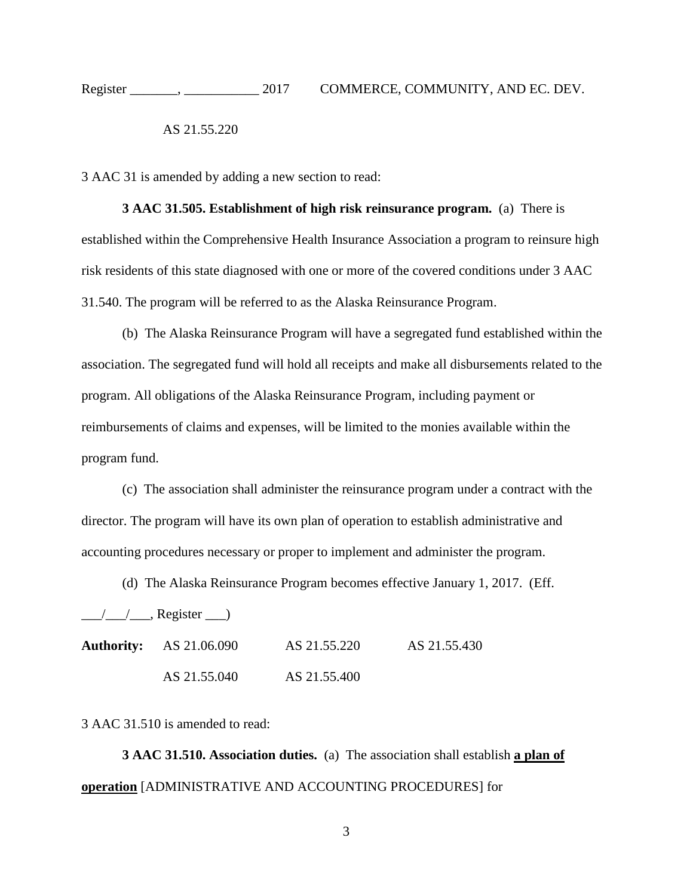AS 21.55.220

3 AAC 31 is amended by adding a new section to read:

**3 AAC 31.505. Establishment of high risk reinsurance program.** (a) There is established within the Comprehensive Health Insurance Association a program to reinsure high risk residents of this state diagnosed with one or more of the covered conditions under 3 AAC 31.540. The program will be referred to as the Alaska Reinsurance Program.

(b) The Alaska Reinsurance Program will have a segregated fund established within the association. The segregated fund will hold all receipts and make all disbursements related to the program. All obligations of the Alaska Reinsurance Program, including payment or reimbursements of claims and expenses, will be limited to the monies available within the program fund.

(c) The association shall administer the reinsurance program under a contract with the director. The program will have its own plan of operation to establish administrative and accounting procedures necessary or proper to implement and administer the program.

(d) The Alaska Reinsurance Program becomes effective January 1, 2017. (Eff.

 $\frac{1}{\sqrt{2}}$ , Register  $\frac{1}{\sqrt{2}}$ 

| <b>Authority:</b> AS 21.06.090 | AS 21.55.220 | AS 21.55.430 |
|--------------------------------|--------------|--------------|
| AS 21.55.040                   | AS 21.55.400 |              |

3 AAC 31.510 is amended to read:

**[3 AAC 31.510. Association duties.](http://www.legis.state.ak.us/basis/folioproxy.asp?url=http://wwwjnu01.legis.state.ak.us/cgi-bin/folioisa.dll/aac/query=%5bGroup+!273+aac+31!2E510!27!3A%5d/doc/%7b@1%7d/hits_only?firsthit)** (a) The association shall establish **a plan of operation** [ADMINISTRATIVE AND ACCOUNTING PROCEDURES] for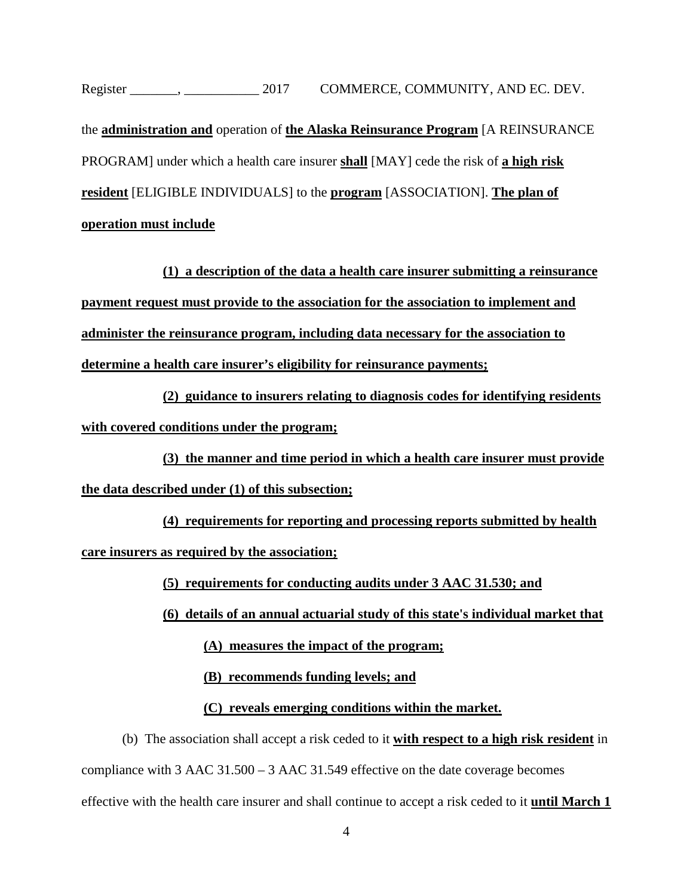the **administration and** operation of **the Alaska Reinsurance Program** [A REINSURANCE PROGRAM] under which a health care insurer **shall** [MAY] cede the risk of **a high risk resident** [ELIGIBLE INDIVIDUALS] to the **program** [ASSOCIATION]. **The plan of operation must include**

**(1) a description of the data a health care insurer submitting a reinsurance payment request must provide to the association for the association to implement and administer the reinsurance program, including data necessary for the association to determine a health care insurer's eligibility for reinsurance payments;**

**(2) guidance to insurers relating to diagnosis codes for identifying residents with covered conditions under the program;**

**(3) the manner and time period in which a health care insurer must provide the data described under (1) of this subsection;**

**(4) requirements for reporting and processing reports submitted by health care insurers as required by the association;**

**(5) requirements for conducting audits under 3 AAC 31.530; and** 

**(6) details of an annual actuarial study of this state's individual market that** 

**(A) measures the impact of the program;**

**(B) recommends funding levels; and**

**(C) reveals emerging conditions within the market.**

(b) The association shall accept a risk ceded to it **with respect to a high risk resident** in compliance with 3 AAC  $31.500 - 3$  $31.500 - 3$  AAC  $31.549$  effective on the date coverage becomes effective with the health care insurer and shall continue to accept a risk ceded to it **until March 1**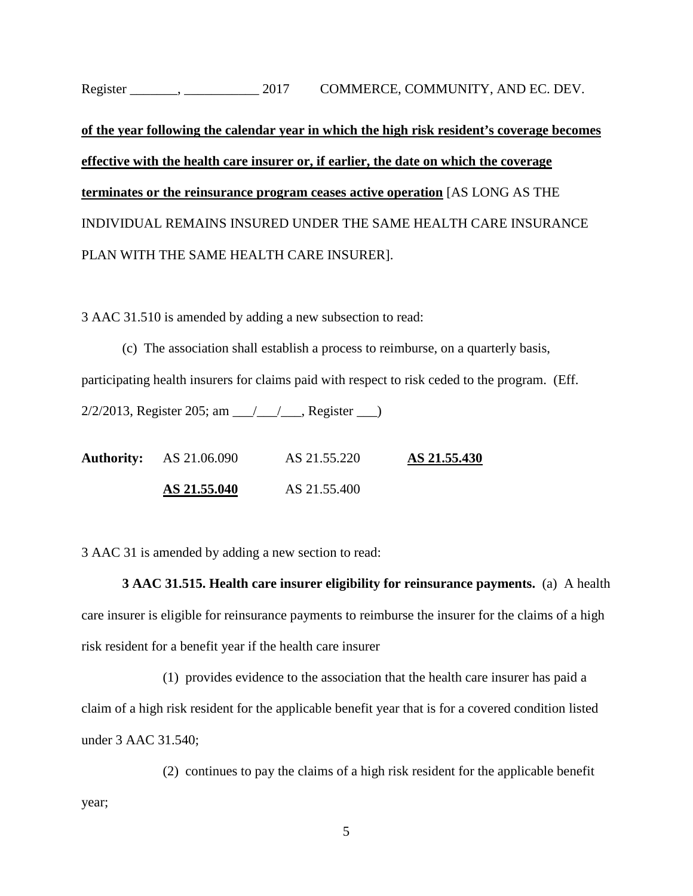# **of the year following the calendar year in which the high risk resident's coverage becomes effective with the health care insurer or, if earlier, the date on which the coverage terminates or the reinsurance program ceases active operation** [AS LONG AS THE INDIVIDUAL REMAINS INSURED UNDER THE SAME HEALTH CARE INSURANCE PLAN WITH THE SAME HEALTH CARE INSURER].

3 AAC 31.510 is amended by adding a new subsection to read:

(c) The association shall establish a process to reimburse, on a quarterly basis, participating health insurers for claims paid with respect to risk ceded to the program. (Eff.  $2/2/2013$ , Register 205; am  $\frac{1}{\sqrt{2}}$ , Register  $\frac{1}{\sqrt{2}}$ 

**Authority:** [AS 21.06.090](http://www.legis.state.ak.us/basis/folioproxy.asp?url=http://wwwjnu01.legis.state.ak.us/cgi-bin/folioisa.dll/stattx15/query=%5bJUMP:%27AS2106090%27%5d/doc/%7b@1%7d?firsthit) [AS 21.55.220](http://www.legis.state.ak.us/basis/folioproxy.asp?url=http://wwwjnu01.legis.state.ak.us/cgi-bin/folioisa.dll/stattx15/query=%5bJUMP:%27AS2155220%27%5d/doc/%7b@1%7d?firsthit) **[AS 21.55.430](http://www.legis.state.ak.us/basis/folioproxy.asp?url=http://wwwjnu01.legis.state.ak.us/cgi-bin/folioisa.dll/stattx15/query=%5bJUMP:%27AS2155400%27%5d/doc/%7b@1%7d?firsthit) AS 21.55.040** AS 21.55.400

3 AAC 31 is amended by adding a new section to read:

**3 AAC 31.515. Health care insurer eligibility for reinsurance payments.** (a) A health care insurer is eligible for reinsurance payments to reimburse the insurer for the claims of a high risk resident for a benefit year if the health care insurer

(1) provides evidence to the association that the health care insurer has paid a claim of a high risk resident for the applicable benefit year that is for a covered condition listed under 3 AAC 31.540;

(2) continues to pay the claims of a high risk resident for the applicable benefit year;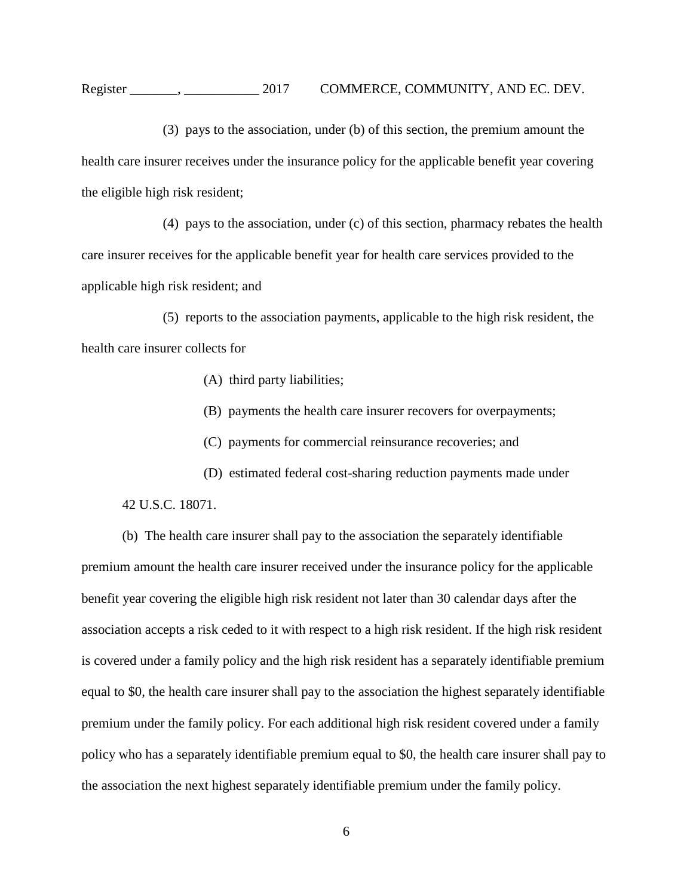(3) pays to the association, under (b) of this section, the premium amount the health care insurer receives under the insurance policy for the applicable benefit year covering the eligible high risk resident;

(4) pays to the association, under (c) of this section, pharmacy rebates the health care insurer receives for the applicable benefit year for health care services provided to the applicable high risk resident; and

(5) reports to the association payments, applicable to the high risk resident, the health care insurer collects for

- (A) third party liabilities;
- (B) payments the health care insurer recovers for overpayments;
- (C) payments for commercial reinsurance recoveries; and
- (D) estimated federal cost-sharing reduction payments made under

42 U.S.C. 18071.

(b) The health care insurer shall pay to the association the separately identifiable premium amount the health care insurer received under the insurance policy for the applicable benefit year covering the eligible high risk resident not later than 30 calendar days after the association accepts a risk ceded to it with respect to a high risk resident. If the high risk resident is covered under a family policy and the high risk resident has a separately identifiable premium equal to \$0, the health care insurer shall pay to the association the highest separately identifiable premium under the family policy. For each additional high risk resident covered under a family policy who has a separately identifiable premium equal to \$0, the health care insurer shall pay to the association the next highest separately identifiable premium under the family policy.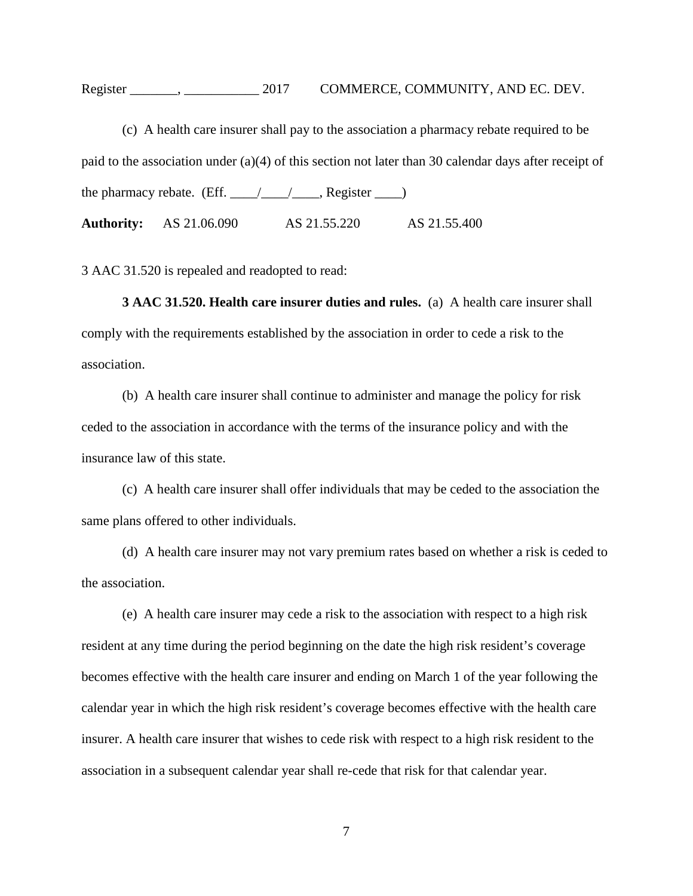(c) A health care insurer shall pay to the association a pharmacy rebate required to be paid to the association under (a)(4) of this section not later than 30 calendar days after receipt of the pharmacy rebate. (Eff.  $\frac{\sqrt{2}}{2}$ , Register  $\frac{\sqrt{2}}{2}$ **Authority:** AS 21.06.090 AS 21.55.220 AS 21.55.400

3 AAC 31.520 is repealed and readopted to read:

**3 AAC [31.520. Health care insurer duties and rules.](http://www.legis.state.ak.us/basis/folioproxy.asp?url=http://wwwjnu01.legis.state.ak.us/cgi-bin/folioisa.dll/aac/query=%5bGroup+!273+aac+31!2E520!27!3A%5d/doc/%7b@1%7d/hits_only?firsthit)** (a) A health care insurer shall comply with the requirements established by the association in order to cede a risk to the association.

(b) A health care insurer shall continue to administer and manage the policy for risk ceded to the association in accordance with the terms of the insurance policy and with the insurance law of this state.

(c) A health care insurer shall offer individuals that may be ceded to the association the same plans offered to other individuals.

(d) A health care insurer may not vary premium rates based on whether a risk is ceded to the association.

(e) A health care insurer may cede a risk to the association with respect to a high risk resident at any time during the period beginning on the date the high risk resident's coverage becomes effective with the health care insurer and ending on March 1 of the year following the calendar year in which the high risk resident's coverage becomes effective with the health care insurer. A health care insurer that wishes to cede risk with respect to a high risk resident to the association in a subsequent calendar year shall re-cede that risk for that calendar year.

7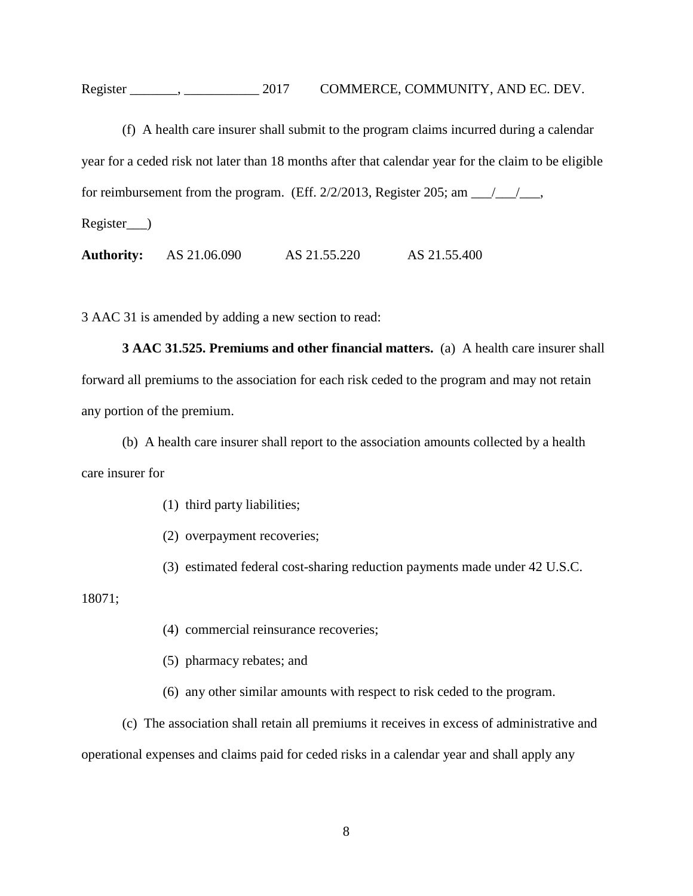(f) A health care insurer shall submit to the program claims incurred during a calendar year for a ceded risk not later than 18 months after that calendar year for the claim to be eligible for reimbursement from the program. (Eff.  $2/2/2013$ , Register 205; am  $\frac{\sqrt{1/2}}{2}$ , Register\_\_\_)

**Authority:** [AS 21.06.090](http://www.legis.state.ak.us/basis/folioproxy.asp?url=http://wwwjnu01.legis.state.ak.us/cgi-bin/folioisa.dll/stattx15/query=%5bJUMP:%27AS2106090%27%5d/doc/%7b@1%7d?firsthit) [AS 21.55.220](http://www.legis.state.ak.us/basis/folioproxy.asp?url=http://wwwjnu01.legis.state.ak.us/cgi-bin/folioisa.dll/stattx15/query=%5bJUMP:%27AS2155220%27%5d/doc/%7b@1%7d?firsthit) [AS 21.55.400](http://www.legis.state.ak.us/basis/folioproxy.asp?url=http://wwwjnu01.legis.state.ak.us/cgi-bin/folioisa.dll/stattx15/query=%5bJUMP:%27AS2155400%27%5d/doc/%7b@1%7d?firsthit)

3 AAC 31 is amended by adding a new section to read:

**3 AAC 31.525. Premiums and other financial matters.** (a) A health care insurer shall forward all premiums to the association for each risk ceded to the program and may not retain any portion of the premium.

(b) A health care insurer shall report to the association amounts collected by a health care insurer for

(1) third party liabilities;

(2) overpayment recoveries;

(3) estimated federal cost-sharing reduction payments made under 42 U.S.C.

18071;

- (4) commercial reinsurance recoveries;
- (5) pharmacy rebates; and
- (6) any other similar amounts with respect to risk ceded to the program.

(c) The association shall retain all premiums it receives in excess of administrative and operational expenses and claims paid for ceded risks in a calendar year and shall apply any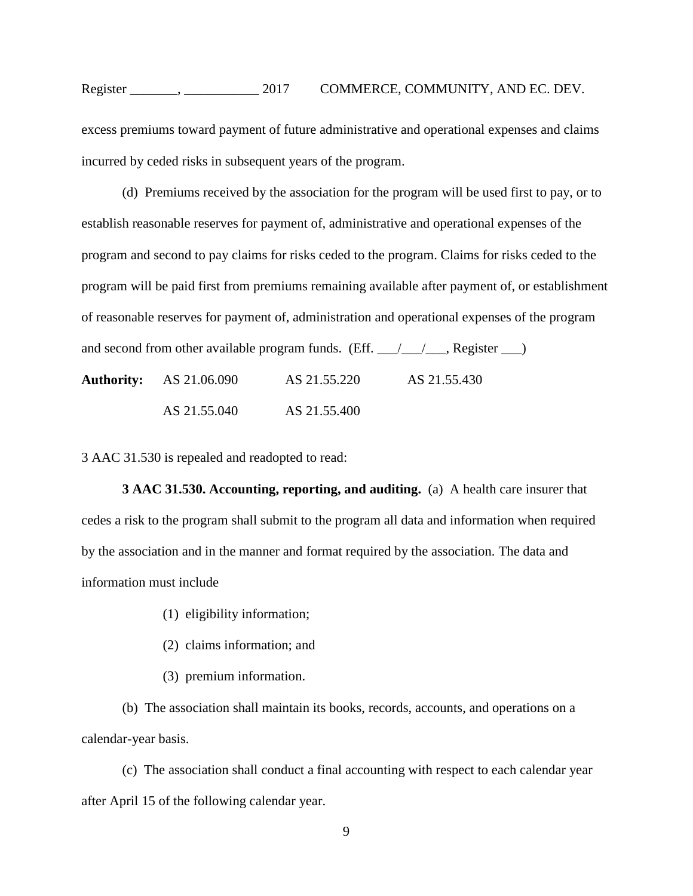excess premiums toward payment of future administrative and operational expenses and claims incurred by ceded risks in subsequent years of the program.

(d) Premiums received by the association for the program will be used first to pay, or to establish reasonable reserves for payment of, administrative and operational expenses of the program and second to pay claims for risks ceded to the program. Claims for risks ceded to the program will be paid first from premiums remaining available after payment of, or establishment of reasonable reserves for payment of, administration and operational expenses of the program and second from other available program funds. (Eff.  $\angle$   $\angle$   $\angle$   $\angle$  Register  $\angle$ ) **Authority:** AS 21.06.090 AS 21.55.220 AS 21.55.430 AS 21.55.040 AS 21.55.400

3 AAC 31.530 is repealed and readopted to read:

**[3 AAC 31.530. Accounting, reporting,](http://www.legis.state.ak.us/basis/folioproxy.asp?url=http://wwwjnu01.legis.state.ak.us/cgi-bin/folioisa.dll/aac/query=%5bGroup+!273+aac+31!2E530!27!3A%5d/doc/%7b@1%7d/hits_only?firsthit) and auditing.** (a) A health care insurer that cedes a risk to the program shall submit to the program all data and information when required by the association and in the manner and format required by the association. The data and information must include

- (1) eligibility information;
- (2) claims information; and
- (3) premium information.

(b) The association shall maintain its books, records, accounts, and operations on a calendar-year basis.

(c) The association shall conduct a final accounting with respect to each calendar year after April 15 of the following calendar year.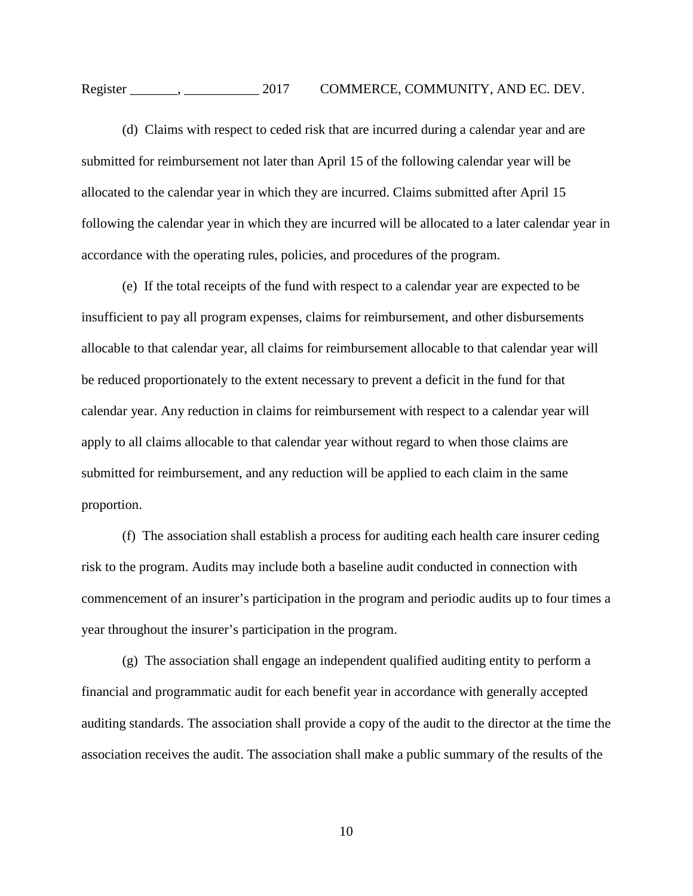(d) Claims with respect to ceded risk that are incurred during a calendar year and are submitted for reimbursement not later than April 15 of the following calendar year will be allocated to the calendar year in which they are incurred. Claims submitted after April 15 following the calendar year in which they are incurred will be allocated to a later calendar year in accordance with the operating rules, policies, and procedures of the program.

(e) If the total receipts of the fund with respect to a calendar year are expected to be insufficient to pay all program expenses, claims for reimbursement, and other disbursements allocable to that calendar year, all claims for reimbursement allocable to that calendar year will be reduced proportionately to the extent necessary to prevent a deficit in the fund for that calendar year. Any reduction in claims for reimbursement with respect to a calendar year will apply to all claims allocable to that calendar year without regard to when those claims are submitted for reimbursement, and any reduction will be applied to each claim in the same proportion.

(f) The association shall establish a process for auditing each health care insurer ceding risk to the program. Audits may include both a baseline audit conducted in connection with commencement of an insurer's participation in the program and periodic audits up to four times a year throughout the insurer's participation in the program.

(g) The association shall engage an independent qualified auditing entity to perform a financial and programmatic audit for each benefit year in accordance with generally accepted auditing standards. The association shall provide a copy of the audit to the director at the time the association receives the audit. The association shall make a public summary of the results of the

10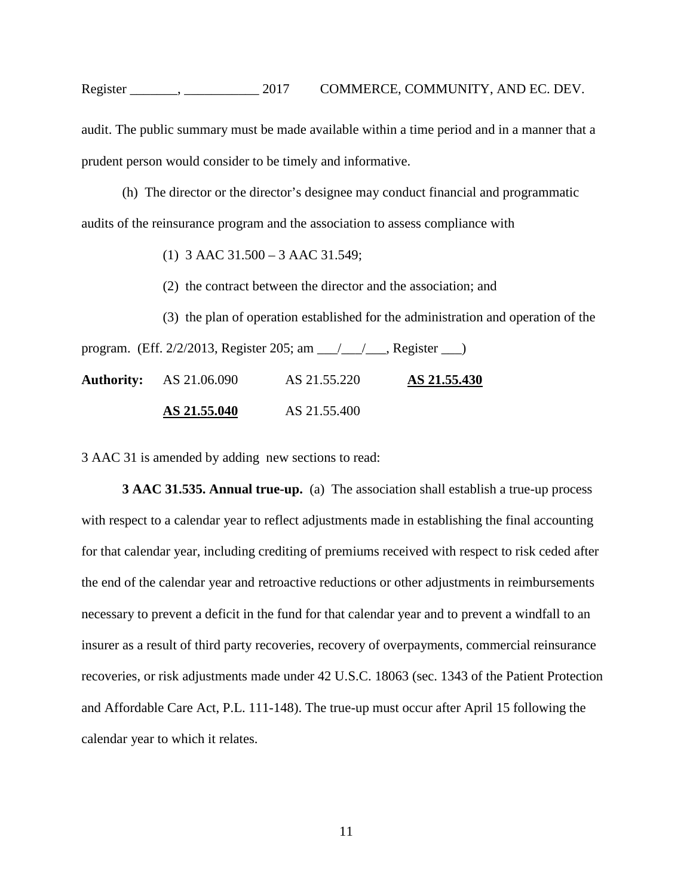#### Register . 2017 COMMERCE, COMMUNITY, AND EC. DEV.

audit. The public summary must be made available within a time period and in a manner that a prudent person would consider to be timely and informative.

(h) The director or the director's designee may conduct financial and programmatic audits of the reinsurance program and the association to assess compliance with

(1) 3 AAC 31.500 – 3 AAC 31.549;

(2) the contract between the director and the association; and

(3) the plan of operation established for the administration and operation of the program. (Eff. 2/2/2013, Register 205; am \_\_\_/\_\_\_/\_\_\_, Register \_\_\_) **Authority:** [AS 21.06.090](http://www.legis.state.ak.us/basis/folioproxy.asp?url=http://wwwjnu01.legis.state.ak.us/cgi-bin/folioisa.dll/stattx15/query=%5bJUMP:%27AS2106090%27%5d/doc/%7b@1%7d?firsthit) [AS 21.55.220](http://www.legis.state.ak.us/basis/folioproxy.asp?url=http://wwwjnu01.legis.state.ak.us/cgi-bin/folioisa.dll/stattx15/query=%5bJUMP:%27AS2155220%27%5d/doc/%7b@1%7d?firsthit) **[AS 21.55.430](http://www.legis.state.ak.us/basis/folioproxy.asp?url=http://wwwjnu01.legis.state.ak.us/cgi-bin/folioisa.dll/stattx15/query=%5bJUMP:%27AS2155400%27%5d/doc/%7b@1%7d?firsthit) AS 21.55.040** AS 21.55.400

3 AAC 31 is amended by adding new sections to read:

**3 AAC 31.535. Annual true-up.** (a) The association shall establish a true-up process with respect to a calendar year to reflect adjustments made in establishing the final accounting for that calendar year, including crediting of premiums received with respect to risk ceded after the end of the calendar year and retroactive reductions or other adjustments in reimbursements necessary to prevent a deficit in the fund for that calendar year and to prevent a windfall to an insurer as a result of third party recoveries, recovery of overpayments, commercial reinsurance recoveries, or risk adjustments made under 42 U.S.C. 18063 (sec. 1343 of the Patient Protection and Affordable Care Act, P.L. 111-148). The true-up must occur after April 15 following the calendar year to which it relates.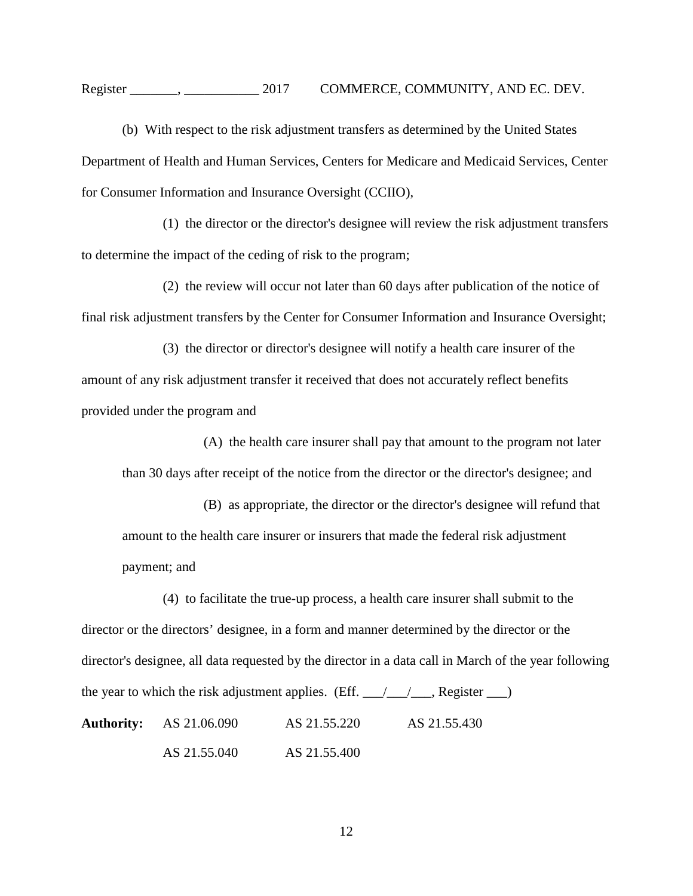#### Register . 2017 COMMERCE, COMMUNITY, AND EC. DEV.

(b) With respect to the risk adjustment transfers as determined by the United States Department of Health and Human Services, Centers for Medicare and Medicaid Services, Center for Consumer Information and Insurance Oversight (CCIIO),

(1) the director or the director's designee will review the risk adjustment transfers to determine the impact of the ceding of risk to the program;

(2) the review will occur not later than 60 days after publication of the notice of final risk adjustment transfers by the Center for Consumer Information and Insurance Oversight;

(3) the director or director's designee will notify a health care insurer of the amount of any risk adjustment transfer it received that does not accurately reflect benefits provided under the program and

(A) the health care insurer shall pay that amount to the program not later than 30 days after receipt of the notice from the director or the director's designee; and

(B) as appropriate, the director or the director's designee will refund that amount to the health care insurer or insurers that made the federal risk adjustment payment; and

(4) to facilitate the true-up process, a health care insurer shall submit to the director or the directors' designee, in a form and manner determined by the director or the director's designee, all data requested by the director in a data call in March of the year following the year to which the risk adjustment applies. (Eff.  $\angle$   $\angle$   $\angle$   $\angle$   $\angle$  Register  $\angle$ **Authority:** AS 21.06.090 AS 21.55.220 AS 21.55.430 AS 21.55.040 AS 21.55.400

12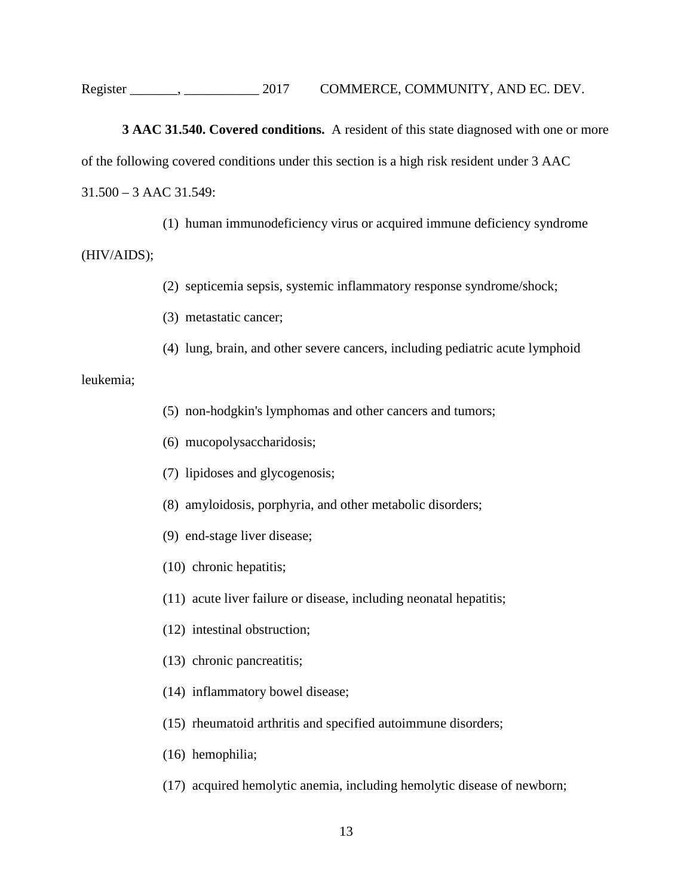**3 AAC 31.540. Covered conditions.** A resident of this state diagnosed with one or more of the following covered conditions under this section is a high risk resident under 3 AAC 31.500 – 3 AAC 31.549:

(1) human immunodeficiency virus or acquired immune deficiency syndrome

(HIV/AIDS);

(2) septicemia sepsis, systemic inflammatory response syndrome/shock;

(3) metastatic cancer;

(4) lung, brain, and other severe cancers, including pediatric acute lymphoid

leukemia;

- (5) non-hodgkin's lymphomas and other cancers and tumors;
- (6) mucopolysaccharidosis;
- (7) lipidoses and glycogenosis;
- (8) amyloidosis, porphyria, and other metabolic disorders;
- (9) end-stage liver disease;
- (10) chronic hepatitis;
- (11) acute liver failure or disease, including neonatal hepatitis;
- (12) intestinal obstruction;
- (13) chronic pancreatitis;
- (14) inflammatory bowel disease;
- (15) rheumatoid arthritis and specified autoimmune disorders;
- (16) hemophilia;
- (17) acquired hemolytic anemia, including hemolytic disease of newborn;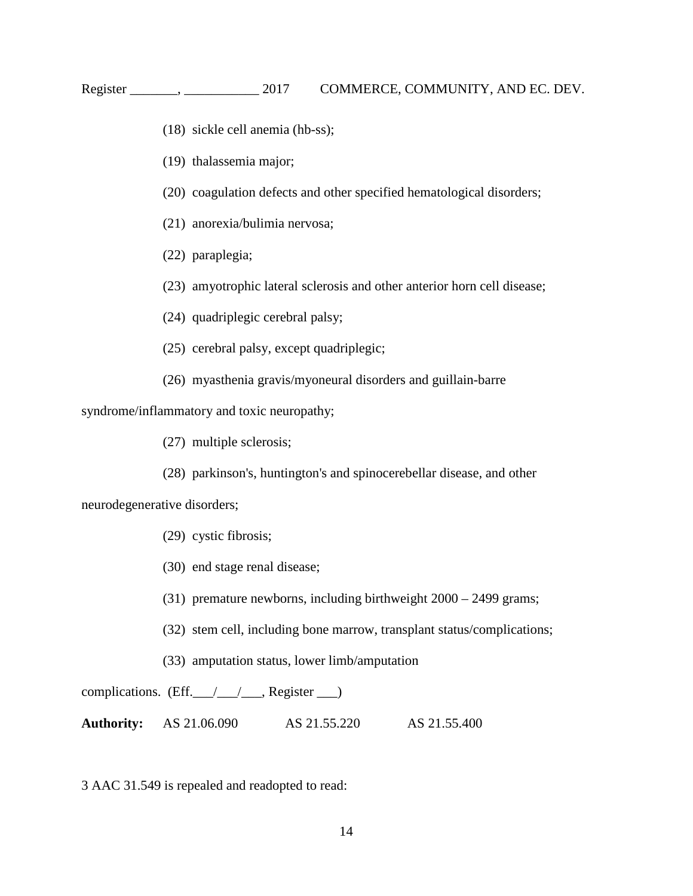- (18) sickle cell anemia (hb-ss);
- (19) thalassemia major;
- (20) coagulation defects and other specified hematological disorders;
- (21) anorexia/bulimia nervosa;
- (22) paraplegia;
- (23) amyotrophic lateral sclerosis and other anterior horn cell disease;
- (24) quadriplegic cerebral palsy;
- (25) cerebral palsy, except quadriplegic;
- (26) myasthenia gravis/myoneural disorders and guillain-barre

syndrome/inflammatory and toxic neuropathy;

(27) multiple sclerosis;

(28) parkinson's, huntington's and spinocerebellar disease, and other

neurodegenerative disorders;

- (29) cystic fibrosis;
- (30) end stage renal disease;
- (31) premature newborns, including birthweight 2000 2499 grams;
- (32) stem cell, including bone marrow, transplant status/complications;
- (33) amputation status, lower limb/amputation

complications. (Eff.  $\angle$  /  $\angle$  Register  $\Box$ )

**Authority:** AS 21.06.090 AS 21.55.220 AS 21.55.400

3 AAC 31.549 is repealed and readopted to read: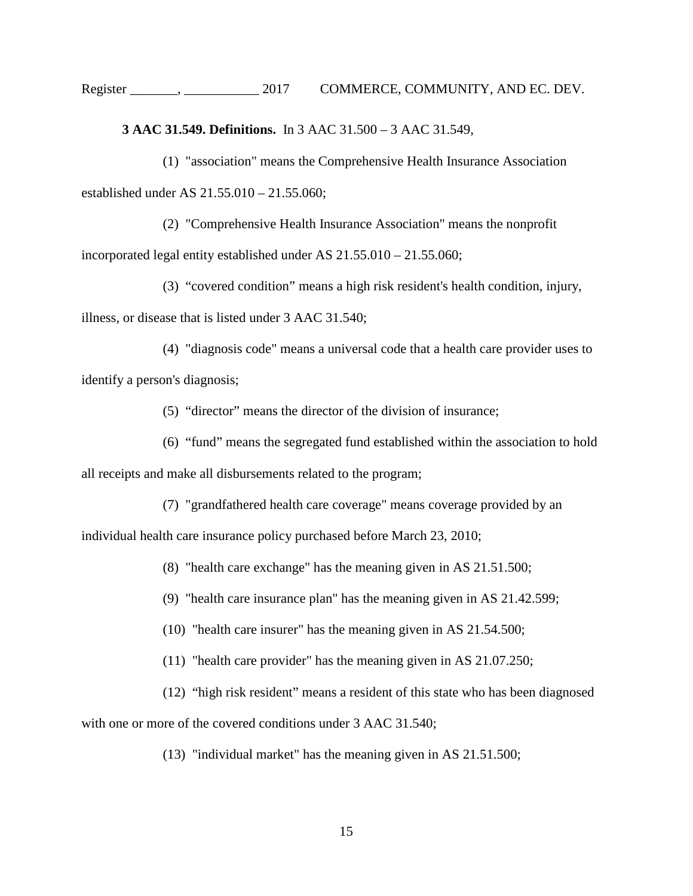**[3 AAC 31.549. Definitions.](http://www.legis.state.ak.us/basis/folioproxy.asp?url=http://wwwjnu01.legis.state.ak.us/cgi-bin/folioisa.dll/aac/query=%5bGroup+!273+aac+31!2E549!27!3A%5d/doc/%7b@1%7d/hits_only?firsthit)** In 3 AAC [31.500](http://www.legis.state.ak.us/basis/folioproxy.asp?url=http://wwwjnu01.legis.state.ak.us/cgi-bin/folioisa.dll/aac/query=%5bJUMP:%273+aac+31!2E500%27%5d/doc/%7b@1%7d?firsthit) – 3 AAC [31.549,](http://www.legis.state.ak.us/basis/folioproxy.asp?url=http://wwwjnu01.legis.state.ak.us/cgi-bin/folioisa.dll/aac/query=%5bJUMP:%273+aac+31!2E549%27%5d/doc/%7b@1%7d?firsthit)

(1) "association" means the Comprehensive Health Insurance Association established under [AS 21.55.010](http://www.legis.state.ak.us/basis/folioproxy.asp?url=http://wwwjnu01.legis.state.ak.us/cgi-bin/folioisa.dll/stattx15/query=%5bJUMP:%27AS2155010%27%5d/doc/%7b@1%7d?firsthit) – 21.55.060;

(2) "Comprehensive Health Insurance Association" means the nonprofit incorporated legal entity established under [AS 21.55.010](http://www.legis.state.ak.us/basis/folioproxy.asp?url=http://wwwjnu01.legis.state.ak.us/cgi-bin/folioisa.dll/stattx15/query=%5bJUMP:%27AS2155010%27%5d/doc/%7b@1%7d?firsthit) – 21.55.060;

(3) "covered condition" means a high risk resident's health condition, injury,

illness, or disease that is listed under 3 AAC 31.540;

(4) "diagnosis code" means a universal code that a health care provider uses to identify a person's diagnosis;

(5) "director" means the director of the division of insurance;

(6) "fund" means the segregated fund established within the association to hold

all receipts and make all disbursements related to the program;

(7) "grandfathered health care coverage" means coverage provided by an

individual health care insurance policy purchased before March 23, 2010;

(8) "health care exchange" has the meaning given in AS 21.51.500;

(9) "health care insurance plan" has the meaning given in [AS 21.42.59](http://www.legis.state.ak.us/basis/folioproxy.asp?url=http://wwwjnu01.legis.state.ak.us/cgi-bin/folioisa.dll/stattx15/query=%5bJUMP:%27AS2154500%27%5d/doc/%7b@1%7d?firsthit)9;

(10) "health care insurer" has the meaning given in AS 21.54.500;

- (11) "health care provider" has the meaning given in AS 21.07.250;
- (12) "high risk resident" means a resident of this state who has been diagnosed

with one or more of the covered conditions under 3 AAC 31.540;

(13) "individual market" has the meaning given in AS 21.51.500;